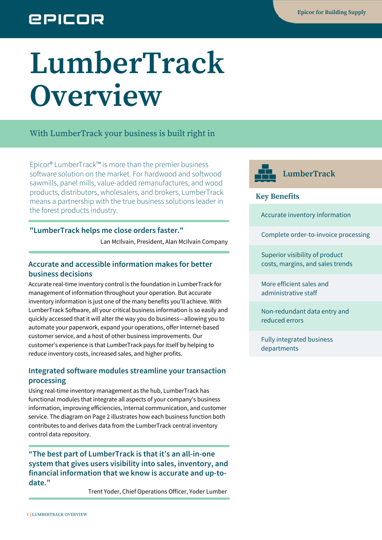## **EPICOR**

# **LumberTrack Overview**

With LumberTrack your business is built right in

Epicor® LumberTrack™ is more than the premier business software solution on the market. For hardwood and softwood sawmills, panel mills, value-added remanufactures, and wood products, distributors, wholesalers, and brokers, LumberTrack means a partnership with the true business solutions leader in the forest products industry.

#### **"LumberTrack helps me close orders faster."**

Lan McIlvain, President, Alan McIlvain Company

#### **Accurate and accessible information makes for better business decisions**

Accurate real-time inventory control is the foundation in LumberTrack for management of information throughout your operation. But accurate inventory information is just one of the many benefits you'll achieve. With LumberTrack Software, all your critical business information is so easily and quickly accessed that it will alter the way you do business—allowing you to automate your paperwork, expand your operations, offer Internet-based customer service, and a host of other business improvements. Our customer's experience is that LumberTrack pays for itself by helping to reduce inventory costs, increased sales, and higher profits.

#### **Integrated software modules streamline your transaction processing**

Using real-time inventory management as the hub, LumberTrack has functional modules that integrate all aspects of your company's business information, improving efficiencies, internal communication, and customer service. The diagram on Page 2 illustrates how each business function both contributes to and derives data from the LumberTrack central inventory control data repository.

**"The best part of LumberTrack is that it's an all-in-one system that gives users visibility into sales, inventory, and financial information that we know is accurate and up-todate."**

Trent Yoder, Chief Operations Officer, Yoder Lumber



#### **Key Benefits**

Accurate inventory information

Complete order-to-invoice processing

Superior visibility of product costs, margins, and sales trends

More efficient sales and administrative staff

Non-redundant data entry and reduced errors

Fully integrated business departments